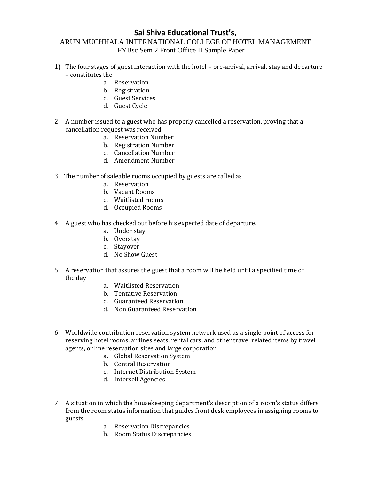## **Sai Shiva Educational Trust's,**

## ARUN MUCHHALA INTERNATIONAL COLLEGE OF HOTEL MANAGEMENT FYBsc Sem 2 Front Office II Sample Paper

- 1) The four stages of guest interaction with the hotel pre-arrival, arrival, stay and departure – constitutes the
	- a. Reservation
	- b. Registration
	- c. Guest Services
	- d. Guest Cycle
- 2. A number issued to a guest who has properly cancelled a reservation, proving that a cancellation request was received
	- a. Reservation Number
	- b. Registration Number
	- c. Cancellation Number
	- d. Amendment Number
- 3. The number of saleable rooms occupied by guests are called as
	- a. Reservation
	- b. Vacant Rooms
	- c. Waitlisted rooms
	- d. Occupied Rooms
- 4. A guest who has checked out before his expected date of departure.
	- a. Under stay
	- b. Overstay
	- c. Stayover
	- d. No Show Guest
- 5. A reservation that assures the guest that a room will be held until a specified time of the day
	- a. Waitlisted Reservation
	- b. Tentative Reservation
	- c. Guaranteed Reservation
	- d. Non Guaranteed Reservation
- 6. Worldwide contribution reservation system network used as a single point of access for reserving hotel rooms, airlines seats, rental cars, and other travel related items by travel agents, online reservation sites and large corporation
	- a. Global Reservation System
	- b. Central Reservation
	- c. Internet Distribution System
	- d. Intersell Agencies
- 7. A situation in which the housekeeping department's description of a room's status differs from the room status information that guides front desk employees in assigning rooms to guests
	- a. Reservation Discrepancies
	- b. Room Status Discrepancies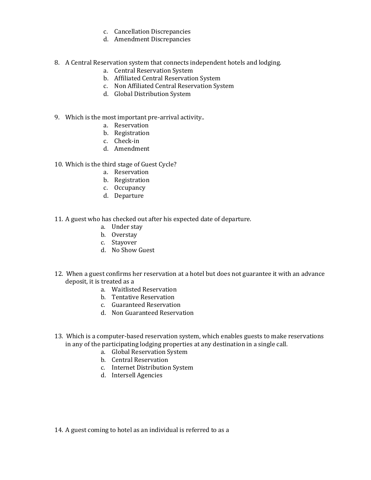- c. Cancellation Discrepancies
- d. Amendment Discrepancies
- 8. A Central Reservation system that connects independent hotels and lodging.
	- a. Central Reservation System
	- b. Affiliated Central Reservation System
	- c. Non Affiliated Central Reservation System
	- d. Global Distribution System
- 9. Which is the most important pre-arrival activity..
	- a. Reservation
	- b. Registration
	- c. Check-in
	- d. Amendment
- 10. Which is the third stage of Guest Cycle?
	- a. Reservation
	- b. Registration
	- c. Occupancy
	- d. Departure
- 11. A guest who has checked out after his expected date of departure.
	- a. Under stay
	- b. Overstay
	- c. Stayover
	- d. No Show Guest
- 12. When a guest confirms her reservation at a hotel but does not guarantee it with an advance deposit, it is treated as a
	- a. Waitlisted Reservation
	- b. Tentative Reservation
	- c. Guaranteed Reservation
	- d. Non Guaranteed Reservation
- 13. Which is a computer-based reservation system, which enables guests to make reservations in any of the participating lodging properties at any destination in a single call.
	- a. Global Reservation System
	- b. Central Reservation
	- c. Internet Distribution System
	- d. Intersell Agencies

14. A guest coming to hotel as an individual is referred to as a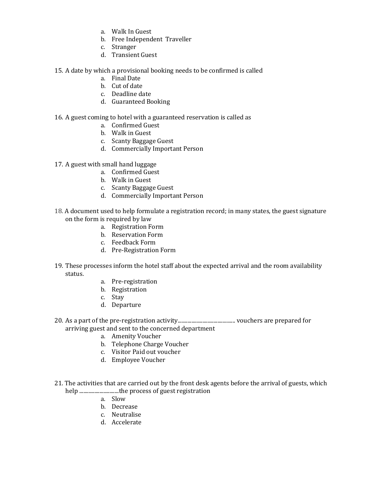- a. Walk In Guest
- b. Free Independent Traveller
- c. Stranger
- d. Transient Guest
- 15. A date by which a provisional booking needs to be confirmed is called
	- a. Final Date
	- b. Cut of date
	- c. Deadline date
	- d. Guaranteed Booking
- 16. A guest coming to hotel with a guaranteed reservation is called as
	- a. Confirmed Guest
	- b. Walk in Guest
	- c. Scanty Baggage Guest
	- d. Commercially Important Person
- 17. A guest with small hand luggage
	- a. Confirmed Guest
	- b. Walk in Guest
	- c. Scanty Baggage Guest
	- d. Commercially Important Person
- 18. A document used to help formulate a registration record; in many states, the guest signature on the form is required by law
	- a. Registration Form
	- b. Reservation Form
	- c. Feedback Form
	- d. Pre-Registration Form
- 19. These processes inform the hotel staff about the expected arrival and the room availability status.
	- a. Pre-registration
	- b. Registration
	- c. Stay
	- d. Departure
- 20. As a part of the pre-registration activity.......................................... vouchers are prepared for arriving guest and sent to the concerned department
	- a. Amenity Voucher
	- b. Telephone Charge Voucher
	- c. Visitor Paid out voucher
	- d. Employee Voucher
- 21. The activities that are carried out by the front desk agents before the arrival of guests, which help ..................................the process of guest registration
	- a. Slow
	- b. Decrease
	- c. Neutralise
	- d. Accelerate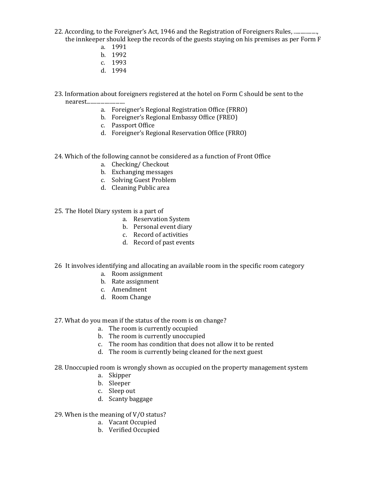- 22. According, to the Foreigner's Act, 1946 and the Registration of Foreigners Rules, .................. the innkeeper should keep the records of the guests staying on his premises as per Form F
	- a. 1991
	- b. 1992
	- c. 1993
	- d. 1994
- 23. Information about foreigners registered at the hotel on Form C should be sent to the nearest............................
	- a. Foreigner's Regional Registration Office (FRRO)
	- b. Foreigner's Regional Embassy Office (FREO)
	- c. Passport Office
	- d. Foreigner's Regional Reservation Office (FRRO)
- 24. Which of the following cannot be considered as a function of Front Office
	- a. Checking/ Checkout
	- b. Exchanging messages
	- c. Solving Guest Problem
	- d. Cleaning Public area
- 25. The Hotel Diary system is a part of
	- a. Reservation System
	- b. Personal event diary
	- c. Record of activities
	- d. Record of past events
- 26 It involves identifying and allocating an available room in the specific room category
	- a. Room assignment
	- b. Rate assignment
	- c. Amendment
	- d. Room Change
- 27. What do you mean if the status of the room is on change?
	- a. The room is currently occupied
	- b. The room is currently unoccupied
	- c. The room has condition that does not allow it to be rented
	- d. The room is currently being cleaned for the next guest
- 28. Unoccupied room is wrongly shown as occupied on the property management system
	- a. Skipper
	- b. Sleeper
	- c. Sleep out
	- d. Scanty baggage
- 29. When is the meaning of V/O status?
	- a. Vacant Occupied
	- b. Verified Occupied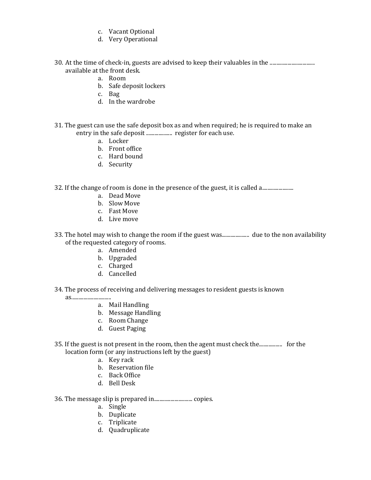- c. Vacant Optional
- d. Very Operational
- 30. At the time of check-in, guests are advised to keep their valuables in the ............................... available at the front desk.
	- a. Room
	- b. Safe deposit lockers
	- c. Bag
	- d. In the wardrobe
- 31. The guest can use the safe deposit box as and when required; he is required to make an entry in the safe deposit ................... register for each use.
	- a. Locker
	- b. Front office
	- c. Hard bound
	- d. Security

32. If the change of room is done in the presence of the guest, it is called a................................

- a. Dead Move
- b. Slow Move
- c. Fast Move
- d. Live move
- 33. The hotel may wish to change the room if the guest was.................... due to the non availability of the requested category of rooms.
	- a. Amended
	- b. Upgraded
	- c. Charged
	- d. Cancelled
- 34. The process of receiving and delivering messages to resident guests is known

as.............................

- a. Mail Handling
- b. Message Handling
- c. Room Change
- d. Guest Paging
- 35. If the guest is not present in the room, then the agent must check the................. for the location form (or any instructions left by the guest)
	- a. Key rack
	- b. Reservation file
	- c. Back Office
	- d. Bell Desk
- 36. The message slip is prepared in............................ copies.
	- a. Single
	- b. Duplicate
	- c. Triplicate
	- d. Quadruplicate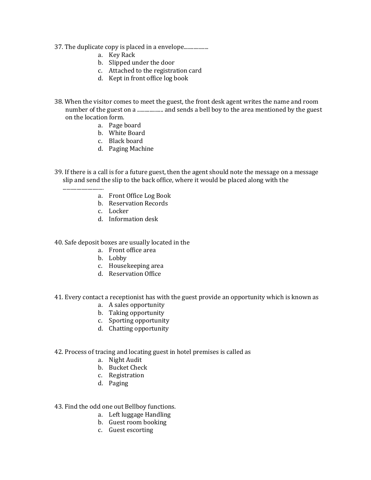- 37. The duplicate copy is placed in a envelope..................
	- a. Key Rack
	- b. Slipped under the door
	- c. Attached to the registration card
	- d. Kept in front office log book
- 38. When the visitor comes to meet the guest, the front desk agent writes the name and room number of the guest on a ........................ and sends a bell boy to the area mentioned by the guest on the location form.
	- a. Page board
	- b. White Board
	- c. Black board
	- d. Paging Machine
- 39. If there is a call is for a future guest, then the agent should note the message on a message slip and send the slip to the back office, where it would be placed along with the
	- .............................. a. Front Office Log Book
		- b. Reservation Records
		- c. Locker
		- d. Information desk
- 40. Safe deposit boxes are usually located in the
	- a. Front office area
	- b. Lobby
	- c. Housekeeping area
	- d. Reservation Office
- 41. Every contact a receptionist has with the guest provide an opportunity which is known as
	- a. A sales opportunity
	- b. Taking opportunity
	- c. Sporting opportunity
	- d. Chatting opportunity

## 42. Process of tracing and locating guest in hotel premises is called as

- a. Night Audit
- b. Bucket Check
- c. Registration
- d. Paging

43. Find the odd one out Bellboy functions.

- a. Left luggage Handling
- b. Guest room booking
- c. Guest escorting